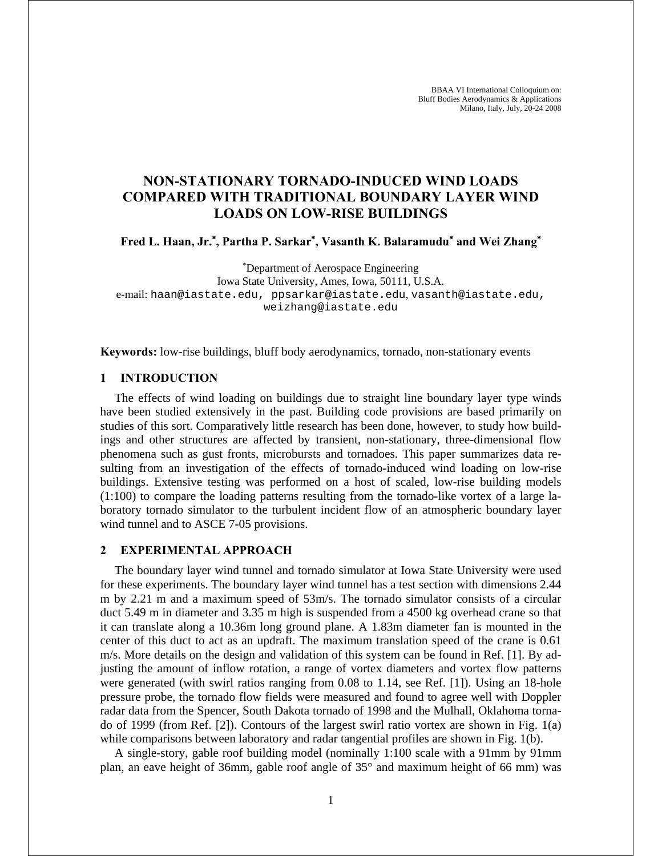# **NON-STATIONARY TORNADO-INDUCED WIND LOADS COMPARED WITH TRADITIONAL BOUNDARY LAYER WIND LOADS ON LOW-RISE BUILDINGS**

**Fred L. Haan, Jr.**<sup>∗</sup> **, Partha P. Sarkar**<sup>∗</sup> **, Vasanth K. Balaramudu**<sup>∗</sup>  **and Wei Zhang**<sup>∗</sup>

∗ Department of Aerospace Engineering Iowa State University, Ames, Iowa, 50111, U.S.A. e-mail: haan@iastate.edu, ppsarkar@iastate.edu, vasanth@iastate.edu, weizhang@iastate.edu

**Keywords:** low-rise buildings, bluff body aerodynamics, tornado, non-stationary events

# **1 INTRODUCTION**

The effects of wind loading on buildings due to straight line boundary layer type winds have been studied extensively in the past. Building code provisions are based primarily on studies of this sort. Comparatively little research has been done, however, to study how buildings and other structures are affected by transient, non-stationary, three-dimensional flow phenomena such as gust fronts, microbursts and tornadoes. This paper summarizes data resulting from an investigation of the effects of tornado-induced wind loading on low-rise buildings. Extensive testing was performed on a host of scaled, low-rise building models  $(1:100)$  to compare the loading patterns resulting from the tornado-like vortex of a large laboratory tornado simulator to the turbulent incident flow of an atmospheric boundary layer wind tunnel and to ASCE 7-05 provisions.

#### **2 EXPERIMENTAL APPROACH**

The boundary layer wind tunnel and tornado simulator at Iowa State University were used for these experiments. The boundary layer wind tunnel has a test section with dimensions 2.44 m by 2.21 m and a maximum speed of 53m/s. The tornado simulator consists of a circular duct 5.49 m in diameter and 3.35 m high is suspended from a 4500 kg overhead crane so that it can translate along a 10.36m long ground plane. A 1.83m diameter fan is mounted in the center of this duct to act as an updraft. The maximum translation speed of the crane is 0.61 m/s. More details on the design and validation of this system can be found in Ref. [1]. By adjusting the amount of inflow rotation, a range of vortex diameters and vortex flow patterns were generated (with swirl ratios ranging from 0.08 to 1.14, see Ref. [1]). Using an 18-hole pressure probe, the tornado flow fields were measured and found to agree well with Doppler radar data from the Spencer, South Dakota tornado of 1998 and the Mulhall, Oklahoma tornado of 1999 (from Ref. [2]). Contours of the largest swirl ratio vortex are shown in Fig. 1(a) while comparisons between laboratory and radar tangential profiles are shown in Fig. 1(b).

A single-story, gable roof building model (nominally 1:100 scale with a 91mm by 91mm plan, an eave height of 36mm, gable roof angle of 35° and maximum height of 66 mm) was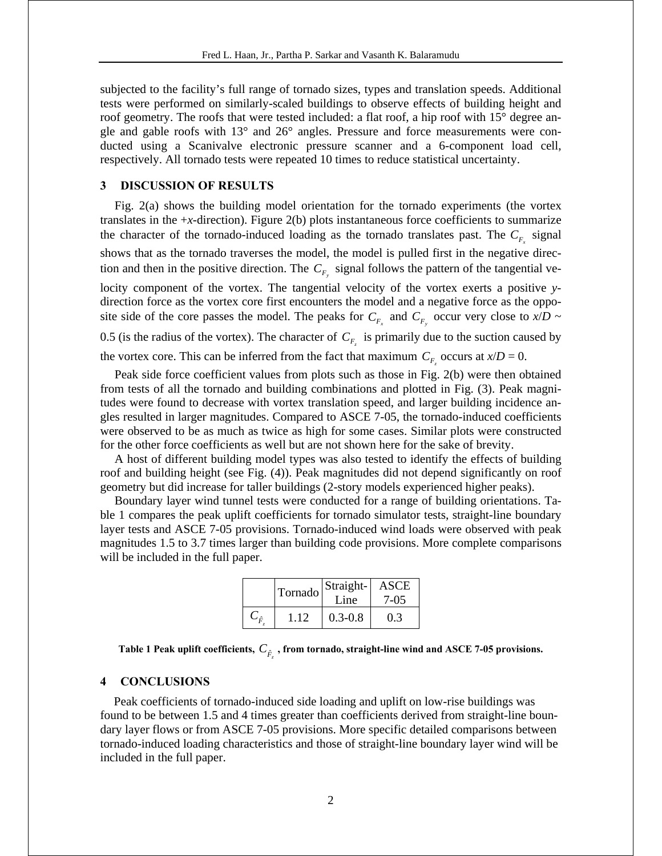subjected to the facility's full range of tornado sizes, types and translation speeds. Additional tests were performed on similarly-scaled buildings to observe effects of building height and roof geometry. The roofs that were tested included: a flat roof, a hip roof with 15° degree angle and gable roofs with 13° and 26° angles. Pressure and force measurements were conducted using a Scanivalve electronic pressure scanner and a 6-component load cell, respectively. All tornado tests were repeated 10 times to reduce statistical uncertainty.

#### **3 DISCUSSION OF RESULTS**

Fig. 2(a) shows the building model orientation for the tornado experiments (the vortex translates in the +*x*-direction). Figure 2(b) plots instantaneous force coefficients to summarize the character of the tornado-induced loading as the tornado translates past. The  $C_{F_{\rm c}}$  signal shows that as the tornado traverses the model, the model is pulled first in the negative direction and then in the positive direction. The  $C_{F_y}$  signal follows the pattern of the tangential velocity component of the vortex. The tangential velocity of the vortex exerts a positive *y*direction force as the vortex core first encounters the model and a negative force as the opposite side of the core passes the model. The peaks for  $C_{F_x}$  and  $C_{F_y}$  occur very close to  $x/D \sim$ 0.5 (is the radius of the vortex). The character of  $C_F$  is primarily due to the suction caused by the vortex core. This can be inferred from the fact that maximum  $C_{F}$  occurs at  $x/D = 0$ .

Peak side force coefficient values from plots such as those in Fig. 2(b) were then obtained from tests of all the tornado and building combinations and plotted in Fig. (3). Peak magnitudes were found to decrease with vortex translation speed, and larger building incidence angles resulted in larger magnitudes. Compared to ASCE 7-05, the tornado-induced coefficients were observed to be as much as twice as high for some cases. Similar plots were constructed for the other force coefficients as well but are not shown here for the sake of brevity.

A host of different building model types was also tested to identify the effects of building roof and building height (see Fig. (4)). Peak magnitudes did not depend significantly on roof geometry but did increase for taller buildings (2-story models experienced higher peaks).

Boundary layer wind tunnel tests were conducted for a range of building orientations. Table 1 compares the peak uplift coefficients for tornado simulator tests, straight-line boundary layer tests and ASCE 7-05 provisions. Tornado-induced wind loads were observed with peak magnitudes 1.5 to 3.7 times larger than building code provisions. More complete comparisons will be included in the full paper.

| Tornado | Straight-<br>Line | ASCE<br>7-05 |
|---------|-------------------|--------------|
| 1 12    | $0.3 - 0.8$       | 0.3          |

| Table 1 Peak uplift coefficients, $C_{\hat{p}}$ , from tornado, straight-line wind and ASCE 7-05 provisions. |  |  |  |  |
|--------------------------------------------------------------------------------------------------------------|--|--|--|--|
|--------------------------------------------------------------------------------------------------------------|--|--|--|--|

#### **4 CONCLUSIONS**

Peak coefficients of tornado-induced side loading and uplift on low-rise buildings was found to be between 1.5 and 4 times greater than coefficients derived from straight-line boundary layer flows or from ASCE 7-05 provisions. More specific detailed comparisons between tornado-induced loading characteristics and those of straight-line boundary layer wind will be included in the full paper.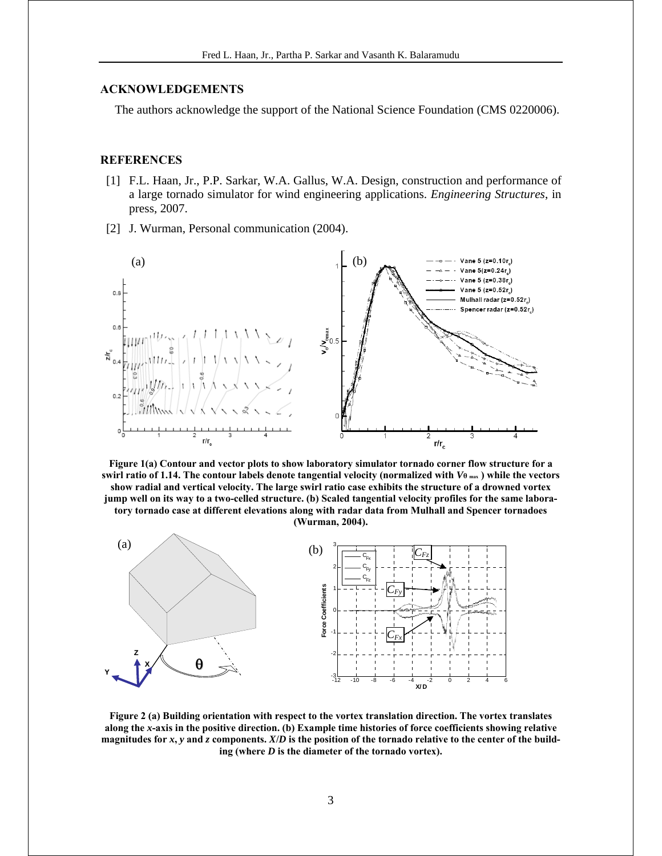## **ACKNOWLEDGEMENTS**

The authors acknowledge the support of the National Science Foundation (CMS 0220006).

### **REFERENCES**

- [1] F.L. Haan, Jr., P.P. Sarkar, W.A. Gallus, W.A. Design, construction and performance of a large tornado simulator for wind engineering applications. *Engineering Structures*, in press, 2007.
- [2] J. Wurman, Personal communication (2004).



**Figure 1(a) Contour and vector plots to show laboratory simulator tornado corner flow structure for a swirl ratio of 1.14. The contour labels denote tangential velocity (normalized with** *V***θ max ) while the vectors show radial and vertical velocity. The large swirl ratio case exhibits the structure of a drowned vortex jump well on its way to a two-celled structure. (b) Scaled tangential velocity profiles for the same laboratory tornado case at different elevations along with radar data from Mulhall and Spencer tornadoes (Wurman, 2004).** 



**Figure 2 (a) Building orientation with respect to the vortex translation direction. The vortex translates along the** *x***-axis in the positive direction. (b) Example time histories of force coefficients showing relative magnitudes for** *x***,** *y* **and** *z* **components.** *X***/***D* **is the position of the tornado relative to the center of the building (where** *D* **is the diameter of the tornado vortex).**